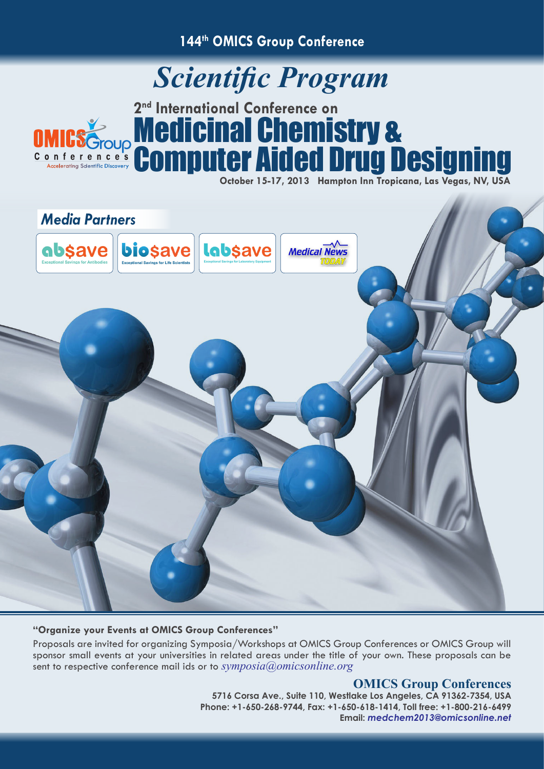**144th OMICS Group Conference**

## *Scientific Program*



## **2nd International Conference on** Medicinal Chemistry & Computer Aided Drug Designing

**October 15-17, 2013 Hampton Inn Tropicana, Las Vegas, NV, USA**



## **"Organize your Events at OMICS Group Conferences"**

Proposals are invited for organizing Symposia/Workshops at OMICS Group Conferences or OMICS Group will sponsor small events at your universities in related areas under the title of your own. These proposals can be sent to respective conference mail ids or to *symposia@omicsonline.org*

## **OMICS Group Conferences**

**5716 Corsa Ave., Suite 110, Westlake Los Angeles, CA 91362-7354, USA Phone: +1-650-268-9744, Fax: +1-650-618-1414, Toll free: +1-800-216-6499 Email:** *medchem2013@omicsonline.net*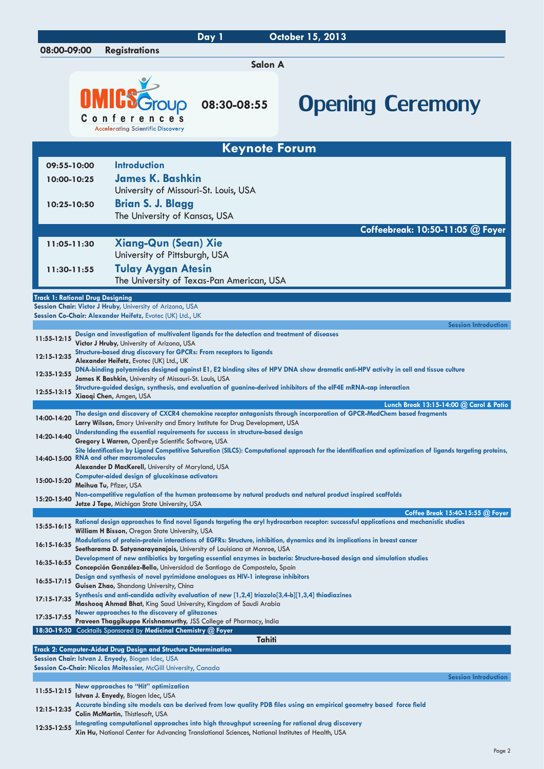|                                                                                 |  |                                                                                                                                                                | Day 1                                     | October 15, 2013                                                                                                                                                              |  |
|---------------------------------------------------------------------------------|--|----------------------------------------------------------------------------------------------------------------------------------------------------------------|-------------------------------------------|-------------------------------------------------------------------------------------------------------------------------------------------------------------------------------|--|
| 08:00-09:00                                                                     |  | <b>Registrations</b>                                                                                                                                           |                                           |                                                                                                                                                                               |  |
|                                                                                 |  |                                                                                                                                                                | Salon A                                   |                                                                                                                                                                               |  |
|                                                                                 |  | <b>Conferences</b><br><b>Acceleratina Scientific Discovery</b>                                                                                                 | 08:30-08:55                               | <b>Opening Ceremony</b>                                                                                                                                                       |  |
|                                                                                 |  |                                                                                                                                                                | <b>Keynote Forum</b>                      |                                                                                                                                                                               |  |
| 09:55-10:00                                                                     |  | <b>Introduction</b>                                                                                                                                            |                                           |                                                                                                                                                                               |  |
| 10:00-10:25                                                                     |  | <b>James K. Bashkin</b>                                                                                                                                        |                                           |                                                                                                                                                                               |  |
|                                                                                 |  | University of Missouri-St. Louis, USA                                                                                                                          |                                           |                                                                                                                                                                               |  |
| 10:25-10:50                                                                     |  | <b>Brian S. J. Blagg</b>                                                                                                                                       |                                           |                                                                                                                                                                               |  |
|                                                                                 |  | The University of Kansas, USA                                                                                                                                  |                                           |                                                                                                                                                                               |  |
|                                                                                 |  |                                                                                                                                                                |                                           | Coffeebreak: 10:50-11:05 @ Foyer                                                                                                                                              |  |
| 11:05-11:30                                                                     |  | <b>Xiang-Qun (Sean) Xie</b><br>University of Pittsburgh, USA                                                                                                   |                                           |                                                                                                                                                                               |  |
| 11:30-11:55                                                                     |  | <b>Tulay Aygan Atesin</b>                                                                                                                                      |                                           |                                                                                                                                                                               |  |
|                                                                                 |  |                                                                                                                                                                | The University of Texas-Pan American, USA |                                                                                                                                                                               |  |
| <b>Track 1: Rational Drug Designing</b>                                         |  |                                                                                                                                                                |                                           |                                                                                                                                                                               |  |
|                                                                                 |  | Session Chair: Victor J Hruby, University of Arizona, USA                                                                                                      |                                           |                                                                                                                                                                               |  |
|                                                                                 |  | Session Co-Chair: Alexander Heifetz, Evotec (UK) Ltd., UK                                                                                                      |                                           | <b>Session Introduction</b>                                                                                                                                                   |  |
| 11:55-12:15                                                                     |  | Design and investigation of multivalent ligands for the detection and treatment of diseases<br>Victor J Hruby, University of Arizona, USA                      |                                           |                                                                                                                                                                               |  |
| 12:15-12:35                                                                     |  | Structure-based drug discovery for GPCRs: From receptors to ligands                                                                                            |                                           |                                                                                                                                                                               |  |
| 12:35-12:55                                                                     |  | Alexander Heifetz, Evotec (UK) Ltd., UK                                                                                                                        |                                           | DNA-binding polyamides designed against E1, E2 binding sites of HPV DNA show dramatic anti-HPV activity in cell and tissue culture                                            |  |
|                                                                                 |  | James K Bashkin, University of Missouri-St. Louis, USA                                                                                                         |                                           | Structure-guided design, synthesis, and evaluation of guanine-derived inhibitors of the eIF4E mRNA-cap interaction                                                            |  |
| 12:55-13:15                                                                     |  | Xiaoqi Chen, Amgen, USA                                                                                                                                        |                                           |                                                                                                                                                                               |  |
| 14:00-14:20                                                                     |  |                                                                                                                                                                |                                           | Lunch Break 13:15-14:00 @ Carol & Patio<br>The design and discovery of CXCR4 chemokine receptor antagonists through incorporation of GPCR-MedChem based fragments             |  |
|                                                                                 |  | Larry Wilson, Emory University and Emory Institute for Drug Development, USA<br>Understanding the essential requirements for success in structure-based design |                                           |                                                                                                                                                                               |  |
| 14:20-14:40                                                                     |  | <b>Gregory L Warren, OpenEye Scientific Software, USA</b>                                                                                                      |                                           |                                                                                                                                                                               |  |
|                                                                                 |  | 14:40-15:00 RNA and other macromolecules                                                                                                                       |                                           | Site Identification by Ligand Competitive Saturation (SILCS): Computational approach for the identification and optimization of ligands targeting proteins,                   |  |
|                                                                                 |  | Alexander D MacKerell, University of Maryland, USA<br><b>Computer-aided design of glucokinase activators</b>                                                   |                                           |                                                                                                                                                                               |  |
| 15:00-15:20                                                                     |  | Meihua Tu, Pfizer, USA                                                                                                                                         |                                           |                                                                                                                                                                               |  |
| 15:20-15:40                                                                     |  | Jetze J Tepe, Michigan State University, USA                                                                                                                   |                                           | Non-competitive regulation of the human proteasome by natural products and natural product inspired scaffolds                                                                 |  |
|                                                                                 |  |                                                                                                                                                                |                                           | Coffee Break 15:40-15:55 @ Foyer<br>Rational design approaches to find novel ligands targeting the aryl hydrocarbon receptor: successful applications and mechanistic studies |  |
| 15:55-16:15                                                                     |  | William H Bisson, Oregon State University, USA                                                                                                                 |                                           |                                                                                                                                                                               |  |
| 16:15-16:35                                                                     |  | Seetharama D. Satyanarayanajois, University of Louisiana at Monroe, USA                                                                                        |                                           | Modulations of protein-protein interactions of EGFRs: Structure, inhibition, dynamics and its implications in breast cancer                                                   |  |
| 16:35-16:55                                                                     |  | Concepción González-Bello, Universidad de Santiago de Compostela, Spain                                                                                        |                                           | Development of new antibiotics by targeting essential enzymes in bacteria: Structure-based design and simulation studies                                                      |  |
| 16:55-17:15                                                                     |  | Design and synthesis of novel pyrimidone analogues as HIV-1 integrase inhibitors                                                                               |                                           |                                                                                                                                                                               |  |
|                                                                                 |  | Guisen Zhao, Shandong University, China<br>Synthesis and anti-candida activity evaluation of new $[1,2,4]$ triazolo $[3,4-b][1,3,4]$ thiadiazines              |                                           |                                                                                                                                                                               |  |
| 17:15-17:35                                                                     |  | Mashooq Ahmad Bhat, King Saud University, Kingdom of Saudi Arabia                                                                                              |                                           |                                                                                                                                                                               |  |
| 17:35-17:55                                                                     |  | Newer approaches to the discovery of glitazones<br>Praveen Thaggikuppe Krishnamurthy, JSS College of Pharmacy, India                                           |                                           |                                                                                                                                                                               |  |
| 18:30-19:30 Cocktails Sponsored by Medicinal Chemistry @ Foyer<br><b>Tahiti</b> |  |                                                                                                                                                                |                                           |                                                                                                                                                                               |  |
|                                                                                 |  | Track 2: Computer-Aided Drug Design and Structure Determination                                                                                                |                                           |                                                                                                                                                                               |  |
|                                                                                 |  | Session Chair: Istvan J. Enyedy, Biogen Idec, USA<br>Session Co-Chair: Nicolas Moitessier, McGill University, Canada                                           |                                           |                                                                                                                                                                               |  |
|                                                                                 |  |                                                                                                                                                                |                                           | <b>Session Introduction</b>                                                                                                                                                   |  |
| 11:55-12:15                                                                     |  | New approaches to "Hit" optimization<br>Istvan J. Enyedy, Biogen Idec, USA                                                                                     |                                           |                                                                                                                                                                               |  |
| 12:15-12:35                                                                     |  | <b>Colin McMartin, Thistlesoft, USA</b>                                                                                                                        |                                           | Accurate binding site models can be derived from low quality PDB files using an empirical geometry based force field                                                          |  |
| 12:35-12:55                                                                     |  | Integrating computational approaches into high throughput screening for rational drug discovery                                                                |                                           |                                                                                                                                                                               |  |
|                                                                                 |  | Xin Hu, National Center for Advancing Translational Sciences, National Institutes of Health, USA                                                               |                                           |                                                                                                                                                                               |  |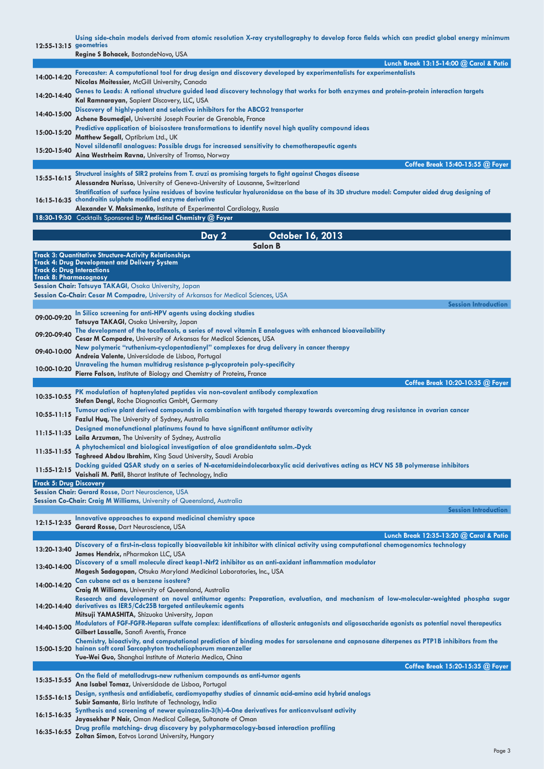**[Using side-chain models derived from atomic resolution X-ray crystallography to develop force fields which can predict global energy minimum](http://www.omicsgroup.com/CreateAbstract.php?id=3909&type=speaker)** 

| 12:55-13:15 geometries                                             |                                                                                                                                                                                                                                                                                                                                                 |
|--------------------------------------------------------------------|-------------------------------------------------------------------------------------------------------------------------------------------------------------------------------------------------------------------------------------------------------------------------------------------------------------------------------------------------|
|                                                                    | Regine S Bohacek, BostondeNovo, USA                                                                                                                                                                                                                                                                                                             |
|                                                                    | Lunch Break 13:15-14:00 @ Carol & Patio<br>Forecaster: A computational tool for drug design and discovery developed by experimentalists for experimentalists                                                                                                                                                                                    |
| 14:00-14:20                                                        | Nicolas Moitessier, McGill University, Canada                                                                                                                                                                                                                                                                                                   |
| 14:20-14:40                                                        | Genes to Leads: A rational structure guided lead discovery technology that works for both enzymes and protein-protein interaction targets<br>Kal Ramnarayan, Sapient Discovery, LLC, USA                                                                                                                                                        |
| 14:40-15:00                                                        | Discovery of highly-potent and selective inhibitors for the ABCG2 transporter<br>Achene Boumedjel, Université Joseph Fourier de Grenoble, France                                                                                                                                                                                                |
| 15:00-15:20                                                        | Predictive application of bioisostere transformations to identify novel high quality compound ideas<br>Matthew Segall, Optibrium Ltd., UK                                                                                                                                                                                                       |
| 15:20-15:40                                                        | Novel sildenafil analogues: Possible drugs for increased sensitivity to chemotherapeutic agents<br>Aina Westrheim Ravna, University of Tromso, Norway                                                                                                                                                                                           |
|                                                                    | Coffee Break 15:40-15:55 @ Foyer                                                                                                                                                                                                                                                                                                                |
| 15:55-16:15                                                        | Structural insights of SIR2 proteins from T. cruzi as promising targets to fight against Chagas disease<br>Alessandra Nurisso, University of Geneva-University of Lausanne, Switzerland<br>Stratification of surface lysine residues of bovine testicular hyaluronidase on the base of its 3D structure model: Computer aided drug designing of |
|                                                                    | 16:15-16:35 chondroitin sulphate modified enzyme derivative<br>Alexander V. Maksimenko, Institute of Experimental Cardiology, Russia                                                                                                                                                                                                            |
|                                                                    | 18:30-19:30 Cocktails Sponsored by Medicinal Chemistry @ Foyer                                                                                                                                                                                                                                                                                  |
|                                                                    | October 16, 2013<br>Day 2<br>Salon B                                                                                                                                                                                                                                                                                                            |
|                                                                    | <b>Track 3: Quantitative Structure-Activity Relationships</b>                                                                                                                                                                                                                                                                                   |
| <b>Track 6: Drug Interactions</b><br><b>Track 8: Pharmacognosy</b> | <b>Track 4: Drug Development and Delivery System</b>                                                                                                                                                                                                                                                                                            |
|                                                                    | Session Chair: Tatsuya TAKAGI, Osaka University, Japan                                                                                                                                                                                                                                                                                          |
|                                                                    | Session Co-Chair: Cesar M Compadre, University of Arkansas for Medical Sciences, USA                                                                                                                                                                                                                                                            |
| 09:00-09:20                                                        | <b>Session Introduction</b><br>In Silico screening for anti-HPV agents using docking studies                                                                                                                                                                                                                                                    |
|                                                                    | Tatsuya TAKAGI, Osaka University, Japan<br>The development of the tocoflexols, a series of novel vitamin E analogues with enhanced bioavailability                                                                                                                                                                                              |
| 09:20-09:40                                                        | Cesar M Compadre, University of Arkansas for Medical Sciences, USA                                                                                                                                                                                                                                                                              |
| 09:40-10:00                                                        | New polymeric "ruthenium-cyclopentadienyl" complexes for drug delivery in cancer therapy<br>Andreia Valente, Universidade de Lisboa, Portugal                                                                                                                                                                                                   |
| 10:00-10:20                                                        | Unraveling the human multidrug resistance p-glycoprotein poly-specificity<br>Pierre Falson, Institute of Biology and Chemistry of Proteins, France                                                                                                                                                                                              |
|                                                                    | Coffee Break 10:20-10:35 @ Foyer                                                                                                                                                                                                                                                                                                                |
| 10:35-10:55                                                        | PK modulation of haptenylated peptides via non-covalent antibody complexation<br>Stefan Dengl, Roche Diagnostics GmbH, Germany                                                                                                                                                                                                                  |
| 10:55-11:15                                                        | Tumour active plant derived compounds in combination with targeted therapy towards overcoming drug resistance in ovarian cancer                                                                                                                                                                                                                 |
| 11:15-11:35                                                        | <b>Fazlul Huq, The University of Sydney, Australia</b><br>Designed monofunctional platinums found to have significant antitumor activity                                                                                                                                                                                                        |
| 11:35-11:55                                                        | Laila Arzuman, The University of Sydney, Australia<br>A phytochemical and biological investigation of aloe grandidentata salm.-Dyck                                                                                                                                                                                                             |
|                                                                    | Taghreed Abdou Ibrahim, King Saud University, Saudi Arabia<br>Docking guided QSAR study on a series of N-acetamideindolecarboxylic acid derivatives acting as HCV NS 5B polymerase inhibitors                                                                                                                                                   |
| 11:55-12:15                                                        | Vaishali M. Patil, Bharat Institute of Technology, India                                                                                                                                                                                                                                                                                        |
| <b>Track 5: Drug Discovery</b>                                     |                                                                                                                                                                                                                                                                                                                                                 |
|                                                                    | Session Chair: Gerard Rosse, Dart Neuroscience, USA<br>Session Co-Chair: Craig M Williams, University of Queensland, Australia                                                                                                                                                                                                                  |
|                                                                    | <b>Session Introduction</b>                                                                                                                                                                                                                                                                                                                     |
| 12:15-12:35                                                        | Innovative approaches to expand medicinal chemistry space                                                                                                                                                                                                                                                                                       |
|                                                                    | Gerard Rosse, Dart Neuroscience, USA<br>Lunch Break 12:35-13:20 @ Carol & Patio                                                                                                                                                                                                                                                                 |
| 13:20-13:40                                                        | Discovery of a first-in-class topically bioavailable kit inhibitor with clinical activity using computational chemogenomics technology<br>James Hendrix, nPharmakon LLC, USA                                                                                                                                                                    |
| 13:40-14:00                                                        | Discovery of a small molecule direct keap1-Nrf2 inhibitor as an anti-oxidant inflammation modulator<br>Magesh Sadagopan, Otsuka Maryland Medicinal Laboratories, Inc., USA                                                                                                                                                                      |
| 14:00-14:20                                                        | Can cubane act as a benzene isostere?                                                                                                                                                                                                                                                                                                           |
|                                                                    | Craig M Williams, University of Queensland, Australia<br>Research and development on novel antitumor agents: Preparation, evaluation, and mechanism of low-molecular-weighted phospha sugar<br>14:20-14:40 derivatives as IER5/Cdc25B targeted antileukemic agents                                                                              |
|                                                                    | Mitsuji YAMASHITA, Shizuoka University, Japan<br>Modulators of FGF-FGFR-Heparan sulfate complex: identifications of allosteric antagonists and oligosaccharide agonists as potential novel therapeutics                                                                                                                                         |
| 14:40-15:00                                                        | Gilbert Lassalle, Sanofi Aventis, France                                                                                                                                                                                                                                                                                                        |
|                                                                    | Chemistry, bioactivity, and computational prediction of binding modes for sarsolenane and capnosane diterpenes as PTP1B inhibitors from the<br>15:00-15:20 hainan soft coral Sarcophyton trocheliophorum marenzeller<br>Yue-Wei Guo, Shanghai Institute of Materia Medica, China                                                                |
|                                                                    | Coffee Break 15:20-15:35 @ Foyer                                                                                                                                                                                                                                                                                                                |
| 15:35-15:55                                                        | On the field of metallodrugs-new ruthenium compounds as anti-tumor agents<br>Ana Isabel Tomaz, Universidade de Lisboa, Portugal                                                                                                                                                                                                                 |
| 15:55-16:15                                                        | Design, synthesis and antidiabetic, cardiomyopathy studies of cinnamic acid-amino acid hybrid analogs                                                                                                                                                                                                                                           |
| 16:15-16:35                                                        | Subir Samanta, Birla Institute of Technology, India<br>Synthesis and screening of newer quinazolin-3(h)-4-One derivatives for anticonvulsant activity                                                                                                                                                                                           |
|                                                                    | Jayasekhar P Nair, Oman Medical College, Sultanate of Oman<br>Drug profile matching- drug discovery by polypharmacology-based interaction profiling                                                                                                                                                                                             |
| 16:35-16:55                                                        | Zoltan Simon, Eotvos Lorand University, Hungary                                                                                                                                                                                                                                                                                                 |